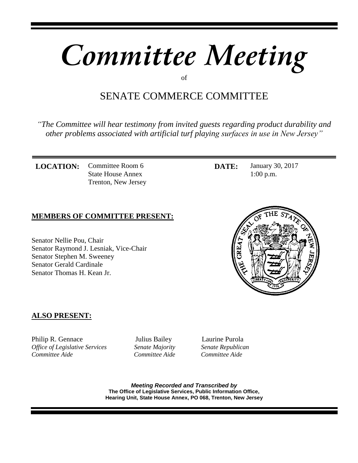# *Committee Meeting*

of

## SENATE COMMERCE COMMITTEE

*"The Committee will hear testimony from invited guests regarding product durability and other problems associated with artificial turf playing surfaces in use in New Jersey"* 

**LOCATION:** Committee Room 6 State House Annex Trenton, New Jersey

## **MEMBERS OF COMMITTEE PRESENT:**

Senator Nellie Pou, Chair Senator Raymond J. Lesniak, Vice-Chair Senator Stephen M. Sweeney Senator Gerald Cardinale Senator Thomas H. Kean Jr.



**DATE:** January 30, 2017 1:00 p.m.

## **ALSO PRESENT:**

Philip R. Gennace **Iulius Bailey** Laurine Purola *Office of Legislative Services* Senate Majority Senate Republican *Committee Aide Committee Aide Committee Aide*

*Meeting Recorded and Transcribed by*  **The Office of Legislative Services, Public Information Office, Hearing Unit, State House Annex, PO 068, Trenton, New Jersey**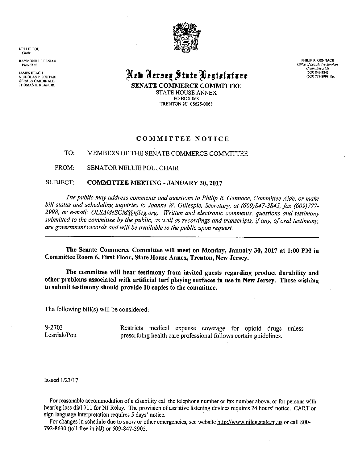**NELLIE POU** Chair

RAYMOND J. LESNIAK Vice-Chair

**JAMES BEACH** NICHOLAS P. SCUTARI<br>GERALD CARDINALE THOMAS H. KEAN, JR.



# New Jersey State Legislature

SENATE COMMERCE COMMITTEE STATE HOUSE ANNEX PO BOX 068 TRENTON NJ 08625-0068

## COMMITTEE NOTICE

#### TO: MEMBERS OF THE SENATE COMMERCE COMMITTEE

FROM: SENATOR NELLIE POU, CHAIR

#### SUBJECT: **COMMITTEE MEETING - JANUARY 30, 2017**

The public may address comments and questions to Philip R. Gennace, Committee Aide, or make bill status and scheduling inquiries to Joanne W. Gillespie, Secretary, at (609)847-3845, fax (609)777-2998, or e-mail: OLSAideSCM@nileg.org. Written and electronic comments, questions and testimony submitted to the committee by the public, as well as recordings and transcripts, if any, of oral testimony, are government records and will be available to the public upon request.

The Senate Commerce Committee will meet on Monday, January 30, 2017 at 1:00 PM in Committee Room 6, First Floor, State House Annex, Trenton, New Jersey.

The committee will hear testimony from invited guests regarding product durability and other problems associated with artificial turf playing surfaces in use in New Jersey. Those wishing to submit testimony should provide 10 copies to the committee.

The following bill(s) will be considered:

S-2703 Restricts medical expense coverage for opioid drugs unless Lesniak/Pou prescribing health care professional follows certain guidelines.

**Issued 1/23/17** 

For reasonable accommodation of a disability call the telephone number or fax number above, or for persons with hearing loss dial 711 for NJ Relay. The provision of assistive listening devices requires 24 hours' notice. CART or sign language interpretation requires 5 days' notice.

For changes in schedule due to snow or other emergencies, see website http://www.njleg.state.nj.us or call 800-792-8630 (toll-free in NJ) or 609-847-3905.

PHILIP R. GENNACE Office of Legislative Services<br>Committee Aide (609) 847-3845 (609) 777-2998 fax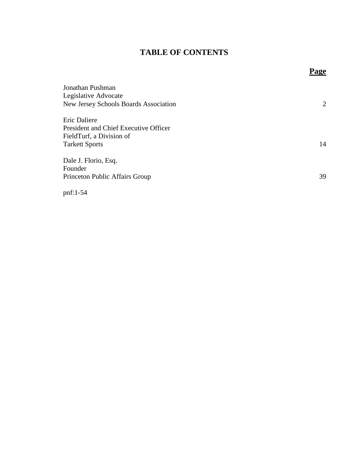## **TABLE OF CONTENTS**

| Jonathan Pushman                             |                |
|----------------------------------------------|----------------|
| Legislative Advocate                         |                |
| <b>New Jersey Schools Boards Association</b> | $\overline{2}$ |
| Eric Daliere                                 |                |
| <b>President and Chief Executive Officer</b> |                |
| FieldTurf, a Division of                     |                |
| <b>Tarkett Sports</b>                        | 14             |
| Dale J. Florio, Esq.                         |                |
| Founder                                      |                |
| Princeton Public Affairs Group               | 39             |
|                                              |                |

**Page**

pnf:1-54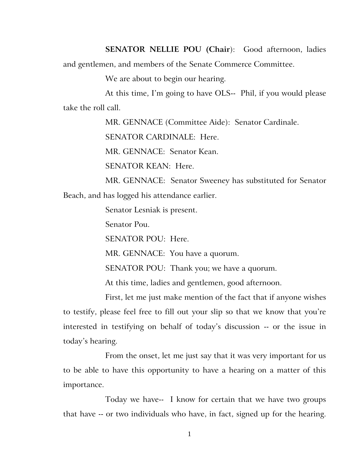**SENATOR NELLIE POU (Chair**): Good afternoon, ladies and gentlemen, and members of the Senate Commerce Committee.

We are about to begin our hearing.

At this time, I'm going to have OLS-- Phil, if you would please take the roll call.

MR. GENNACE (Committee Aide): Senator Cardinale.

SENATOR CARDINALE: Here.

MR. GENNACE: Senator Kean.

SENATOR KEAN: Here.

MR. GENNACE: Senator Sweeney has substituted for Senator Beach, and has logged his attendance earlier.

Senator Lesniak is present.

Senator Pou.

SENATOR POU: Here.

MR. GENNACE: You have a quorum.

SENATOR POU: Thank you; we have a quorum.

At this time, ladies and gentlemen, good afternoon.

First, let me just make mention of the fact that if anyone wishes to testify, please feel free to fill out your slip so that we know that you're interested in testifying on behalf of today's discussion -- or the issue in today's hearing.

From the onset, let me just say that it was very important for us to be able to have this opportunity to have a hearing on a matter of this importance.

Today we have-- I know for certain that we have two groups that have -- or two individuals who have, in fact, signed up for the hearing.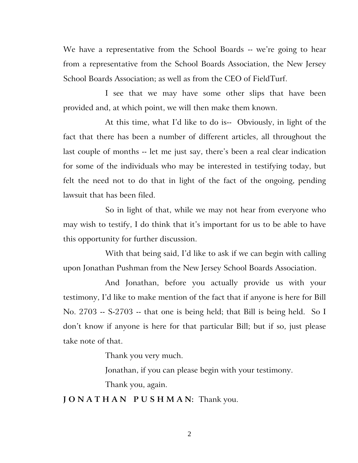We have a representative from the School Boards -- we're going to hear from a representative from the School Boards Association, the New Jersey School Boards Association; as well as from the CEO of FieldTurf.

I see that we may have some other slips that have been provided and, at which point, we will then make them known.

At this time, what I'd like to do is-- Obviously, in light of the fact that there has been a number of different articles, all throughout the last couple of months -- let me just say, there's been a real clear indication for some of the individuals who may be interested in testifying today, but felt the need not to do that in light of the fact of the ongoing, pending lawsuit that has been filed.

So in light of that, while we may not hear from everyone who may wish to testify, I do think that it's important for us to be able to have this opportunity for further discussion.

With that being said, I'd like to ask if we can begin with calling upon Jonathan Pushman from the New Jersey School Boards Association.

And Jonathan, before you actually provide us with your testimony, I'd like to make mention of the fact that if anyone is here for Bill No. 2703 -- S-2703 -- that one is being held; that Bill is being held. So I don't know if anyone is here for that particular Bill; but if so, just please take note of that.

Thank you very much.

Jonathan, if you can please begin with your testimony.

Thank you, again.

**J O N A T H A N P U S H M A N:** Thank you.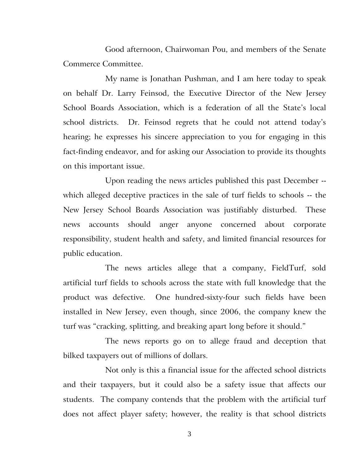Good afternoon, Chairwoman Pou, and members of the Senate Commerce Committee.

My name is Jonathan Pushman, and I am here today to speak on behalf Dr. Larry Feinsod, the Executive Director of the New Jersey School Boards Association, which is a federation of all the State's local school districts. Dr. Feinsod regrets that he could not attend today's hearing; he expresses his sincere appreciation to you for engaging in this fact-finding endeavor, and for asking our Association to provide its thoughts on this important issue.

Upon reading the news articles published this past December - which alleged deceptive practices in the sale of turf fields to schools -- the New Jersey School Boards Association was justifiably disturbed. These news accounts should anger anyone concerned about corporate responsibility, student health and safety, and limited financial resources for public education.

The news articles allege that a company, FieldTurf, sold artificial turf fields to schools across the state with full knowledge that the product was defective. One hundred-sixty-four such fields have been installed in New Jersey, even though, since 2006, the company knew the turf was "cracking, splitting, and breaking apart long before it should."

The news reports go on to allege fraud and deception that bilked taxpayers out of millions of dollars.

Not only is this a financial issue for the affected school districts and their taxpayers, but it could also be a safety issue that affects our students. The company contends that the problem with the artificial turf does not affect player safety; however, the reality is that school districts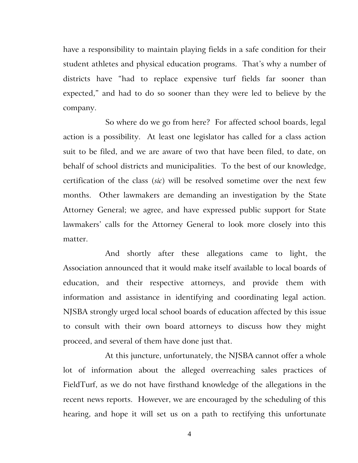have a responsibility to maintain playing fields in a safe condition for their student athletes and physical education programs. That's why a number of districts have "had to replace expensive turf fields far sooner than expected," and had to do so sooner than they were led to believe by the company.

So where do we go from here? For affected school boards, legal action is a possibility. At least one legislator has called for a class action suit to be filed, and we are aware of two that have been filed, to date, on behalf of school districts and municipalities. To the best of our knowledge, certification of the class (*sic*) will be resolved sometime over the next few months. Other lawmakers are demanding an investigation by the State Attorney General; we agree, and have expressed public support for State lawmakers' calls for the Attorney General to look more closely into this matter.

And shortly after these allegations came to light, the Association announced that it would make itself available to local boards of education, and their respective attorneys, and provide them with information and assistance in identifying and coordinating legal action. NJSBA strongly urged local school boards of education affected by this issue to consult with their own board attorneys to discuss how they might proceed, and several of them have done just that.

At this juncture, unfortunately, the NJSBA cannot offer a whole lot of information about the alleged overreaching sales practices of FieldTurf, as we do not have firsthand knowledge of the allegations in the recent news reports. However, we are encouraged by the scheduling of this hearing, and hope it will set us on a path to rectifying this unfortunate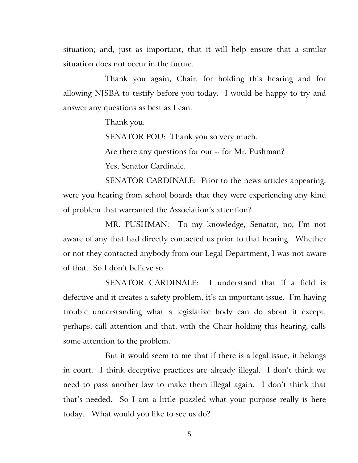situation; and, just as important, that it will help ensure that a similar situation does not occur in the future.

Thank you again, Chair, for holding this hearing and for allowing NJSBA to testify before you today. I would be happy to try and answer any questions as best as I can.

Thank you.

SENATOR POU: Thank you so very much.

Are there any questions for our -- for Mr. Pushman?

Yes, Senator Cardinale.

SENATOR CARDINALE: Prior to the news articles appearing, were you hearing from school boards that they were experiencing any kind of problem that warranted the Association's attention?

MR. PUSHMAN: To my knowledge, Senator, no; I'm not aware of any that had directly contacted us prior to that hearing. Whether or not they contacted anybody from our Legal Department, I was not aware of that. So I don't believe so.

SENATOR CARDINALE: I understand that if a field is defective and it creates a safety problem, it's an important issue. I'm having trouble understanding what a legislative body can do about it except, perhaps, call attention and that, with the Chair holding this hearing, calls some attention to the problem.

But it would seem to me that if there is a legal issue, it belongs in court. I think deceptive practices are already illegal. I don't think we need to pass another law to make them illegal again. I don't think that that's needed. So I am a little puzzled what your purpose really is here today. What would you like to see us do?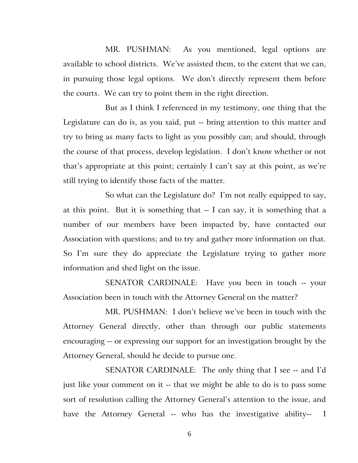MR. PUSHMAN: As you mentioned, legal options are available to school districts. We've assisted them, to the extent that we can, in pursuing those legal options. We don't directly represent them before the courts. We can try to point them in the right direction.

But as I think I referenced in my testimony, one thing that the Legislature can do is, as you said, put -- bring attention to this matter and try to bring as many facts to light as you possibly can; and should, through the course of that process, develop legislation. I don't know whether or not that's appropriate at this point; certainly I can't say at this point, as we're still trying to identify those facts of the matter.

So what can the Legislature do? I'm not really equipped to say, at this point. But it is something that -- I can say, it is something that a number of our members have been impacted by, have contacted our Association with questions; and to try and gather more information on that. So I'm sure they do appreciate the Legislature trying to gather more information and shed light on the issue.

SENATOR CARDINALE: Have you been in touch -- your Association been in touch with the Attorney General on the matter?

MR. PUSHMAN: I don't believe we've been in touch with the Attorney General directly, other than through our public statements encouraging -- or expressing our support for an investigation brought by the Attorney General, should he decide to pursue one.

SENATOR CARDINALE: The only thing that I see -- and I'd just like your comment on it -- that we might be able to do is to pass some sort of resolution calling the Attorney General's attention to the issue, and have the Attorney General -- who has the investigative ability-- I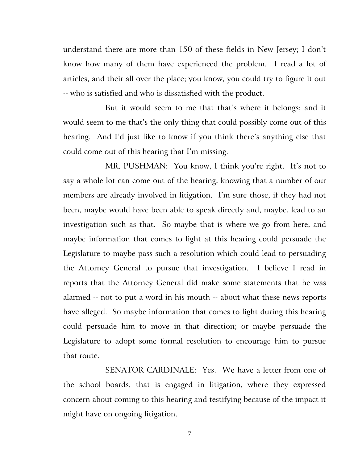understand there are more than 150 of these fields in New Jersey; I don't know how many of them have experienced the problem. I read a lot of articles, and their all over the place; you know, you could try to figure it out -- who is satisfied and who is dissatisfied with the product.

But it would seem to me that that's where it belongs; and it would seem to me that's the only thing that could possibly come out of this hearing. And I'd just like to know if you think there's anything else that could come out of this hearing that I'm missing.

MR. PUSHMAN: You know, I think you're right. It's not to say a whole lot can come out of the hearing, knowing that a number of our members are already involved in litigation. I'm sure those, if they had not been, maybe would have been able to speak directly and, maybe, lead to an investigation such as that. So maybe that is where we go from here; and maybe information that comes to light at this hearing could persuade the Legislature to maybe pass such a resolution which could lead to persuading the Attorney General to pursue that investigation. I believe I read in reports that the Attorney General did make some statements that he was alarmed -- not to put a word in his mouth -- about what these news reports have alleged. So maybe information that comes to light during this hearing could persuade him to move in that direction; or maybe persuade the Legislature to adopt some formal resolution to encourage him to pursue that route.

SENATOR CARDINALE: Yes. We have a letter from one of the school boards, that is engaged in litigation, where they expressed concern about coming to this hearing and testifying because of the impact it might have on ongoing litigation.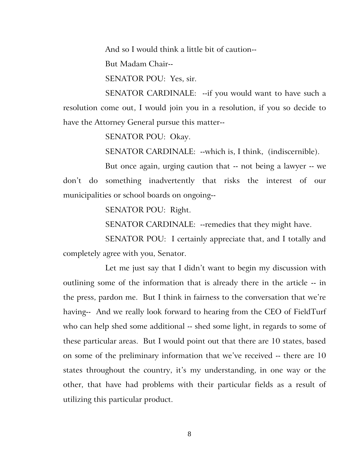And so I would think a little bit of caution--

But Madam Chair--

SENATOR POU: Yes, sir.

SENATOR CARDINALE: --if you would want to have such a resolution come out, I would join you in a resolution, if you so decide to have the Attorney General pursue this matter--

SENATOR POU: Okay.

SENATOR CARDINALE: --which is, I think, (indiscernible).

But once again, urging caution that -- not being a lawyer -- we don't do something inadvertently that risks the interest of our municipalities or school boards on ongoing--

SENATOR POU: Right.

SENATOR CARDINALE: --remedies that they might have.

SENATOR POU: I certainly appreciate that, and I totally and completely agree with you, Senator.

Let me just say that I didn't want to begin my discussion with outlining some of the information that is already there in the article -- in the press, pardon me. But I think in fairness to the conversation that we're having-- And we really look forward to hearing from the CEO of FieldTurf who can help shed some additional -- shed some light, in regards to some of these particular areas. But I would point out that there are 10 states, based on some of the preliminary information that we've received -- there are 10 states throughout the country, it's my understanding, in one way or the other, that have had problems with their particular fields as a result of utilizing this particular product.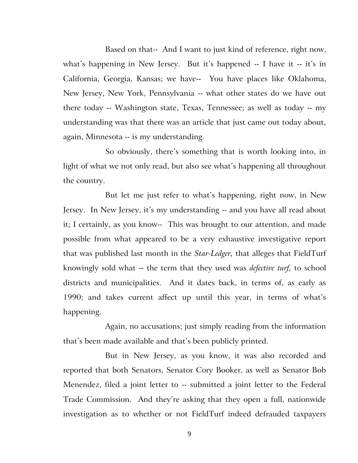Based on that-- And I want to just kind of reference, right now, what's happening in New Jersey. But it's happened -- I have it -- it's in California, Georgia, Kansas; we have-- You have places like Oklahoma, New Jersey, New York, Pennsylvania -- what other states do we have out there today -- Washington state, Texas, Tennessee; as well as today -- my understanding was that there was an article that just came out today about, again, Minnesota -- is my understanding.

So obviously, there's something that is worth looking into, in light of what we not only read, but also see what's happening all throughout the country.

But let me just refer to what's happening, right now, in New Jersey. In New Jersey, it's my understanding -- and you have all read about it; I certainly, as you know-- This was brought to our attention, and made possible from what appeared to be a very exhaustive investigative report that was published last month in the *Star-Ledger,* that alleges that FieldTurf knowingly sold what -- the term that they used was *defective turf,* to school districts and municipalities. And it dates back, in terms of, as early as 1990; and takes current affect up until this year, in terms of what's happening.

Again, no accusations; just simply reading from the information that's been made available and that's been publicly printed.

But in New Jersey, as you know, it was also recorded and reported that both Senators, Senator Cory Booker, as well as Senator Bob Menendez, filed a joint letter to -- submitted a joint letter to the Federal Trade Commission. And they're asking that they open a full, nationwide investigation as to whether or not FieldTurf indeed defrauded taxpayers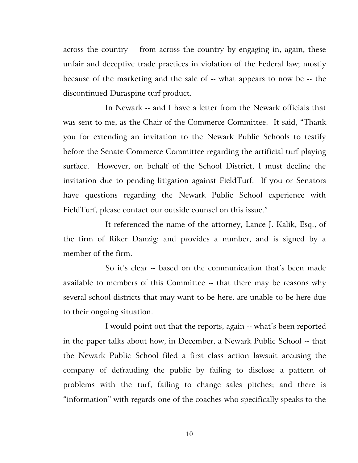across the country -- from across the country by engaging in, again, these unfair and deceptive trade practices in violation of the Federal law; mostly because of the marketing and the sale of -- what appears to now be -- the discontinued Duraspine turf product.

In Newark -- and I have a letter from the Newark officials that was sent to me, as the Chair of the Commerce Committee. It said, "Thank you for extending an invitation to the Newark Public Schools to testify before the Senate Commerce Committee regarding the artificial turf playing surface. However, on behalf of the School District, I must decline the invitation due to pending litigation against FieldTurf. If you or Senators have questions regarding the Newark Public School experience with FieldTurf, please contact our outside counsel on this issue."

It referenced the name of the attorney, Lance J. Kalik, Esq., of the firm of Riker Danzig; and provides a number, and is signed by a member of the firm.

So it's clear -- based on the communication that's been made available to members of this Committee -- that there may be reasons why several school districts that may want to be here, are unable to be here due to their ongoing situation.

I would point out that the reports, again -- what's been reported in the paper talks about how, in December, a Newark Public School -- that the Newark Public School filed a first class action lawsuit accusing the company of defrauding the public by failing to disclose a pattern of problems with the turf, failing to change sales pitches; and there is "information" with regards one of the coaches who specifically speaks to the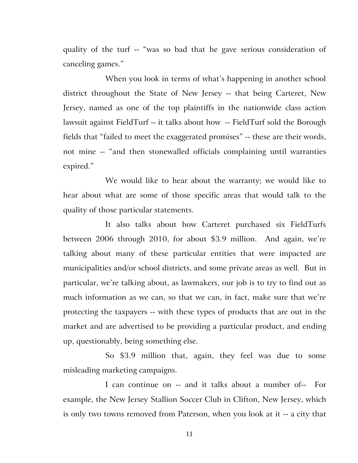quality of the turf -- "was so bad that he gave serious consideration of canceling games."

When you look in terms of what's happening in another school district throughout the State of New Jersey -- that being Carteret, New Jersey, named as one of the top plaintiffs in the nationwide class action lawsuit against FieldTurf -- it talks about how -- FieldTurf sold the Borough fields that "failed to meet the exaggerated promises" -- these are their words, not mine -- "and then stonewalled officials complaining until warranties expired."

We would like to hear about the warranty; we would like to hear about what are some of those specific areas that would talk to the quality of those particular statements.

It also talks about how Carteret purchased six FieldTurfs between 2006 through 2010, for about \$3.9 million. And again, we're talking about many of these particular entities that were impacted are municipalities and/or school districts, and some private areas as well. But in particular, we're talking about, as lawmakers, our job is to try to find out as much information as we can, so that we can, in fact, make sure that we're protecting the taxpayers -- with these types of products that are out in the market and are advertised to be providing a particular product, and ending up, questionably, being something else.

So \$3.9 million that, again, they feel was due to some misleading marketing campaigns.

I can continue on -- and it talks about a number of-- For example, the New Jersey Stallion Soccer Club in Clifton, New Jersey, which is only two towns removed from Paterson, when you look at it -- a city that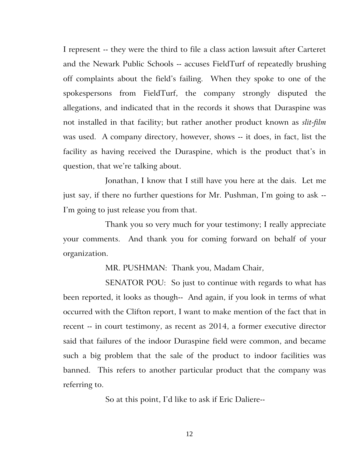I represent -- they were the third to file a class action lawsuit after Carteret and the Newark Public Schools -- accuses FieldTurf of repeatedly brushing off complaints about the field's failing. When they spoke to one of the spokespersons from FieldTurf, the company strongly disputed the allegations, and indicated that in the records it shows that Duraspine was not installed in that facility; but rather another product known as *slit-film* was used. A company directory, however, shows -- it does, in fact, list the facility as having received the Duraspine, which is the product that's in question, that we're talking about.

Jonathan, I know that I still have you here at the dais. Let me just say, if there no further questions for Mr. Pushman, I'm going to ask -- I'm going to just release you from that.

Thank you so very much for your testimony; I really appreciate your comments. And thank you for coming forward on behalf of your organization.

MR. PUSHMAN: Thank you, Madam Chair,

SENATOR POU: So just to continue with regards to what has been reported, it looks as though-- And again, if you look in terms of what occurred with the Clifton report, I want to make mention of the fact that in recent -- in court testimony, as recent as 2014, a former executive director said that failures of the indoor Duraspine field were common, and became such a big problem that the sale of the product to indoor facilities was banned. This refers to another particular product that the company was referring to.

So at this point, I'd like to ask if Eric Daliere--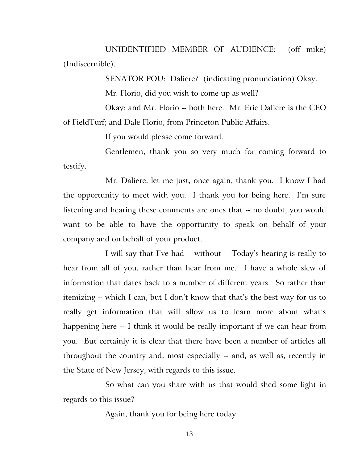UNIDENTIFIED MEMBER OF AUDIENCE:(off mike) (Indiscernible).

SENATOR POU: Daliere? (indicating pronunciation) Okay.

Mr. Florio, did you wish to come up as well?

Okay; and Mr. Florio -- both here. Mr. Eric Daliere is the CEO of FieldTurf; and Dale Florio, from Princeton Public Affairs.

If you would please come forward.

Gentlemen, thank you so very much for coming forward to testify.

Mr. Daliere, let me just, once again, thank you. I know I had the opportunity to meet with you. I thank you for being here. I'm sure listening and hearing these comments are ones that -- no doubt, you would want to be able to have the opportunity to speak on behalf of your company and on behalf of your product.

I will say that I've had -- without-- Today's hearing is really to hear from all of you, rather than hear from me. I have a whole slew of information that dates back to a number of different years. So rather than itemizing -- which I can, but I don't know that that's the best way for us to really get information that will allow us to learn more about what's happening here -- I think it would be really important if we can hear from you. But certainly it is clear that there have been a number of articles all throughout the country and, most especially -- and, as well as, recently in the State of New Jersey, with regards to this issue.

So what can you share with us that would shed some light in regards to this issue?

Again, thank you for being here today.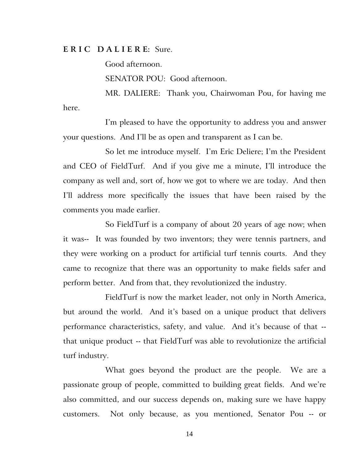## **E R I C D A L I E R E:** Sure.

Good afternoon.

SENATOR POU: Good afternoon.

MR. DALIERE: Thank you, Chairwoman Pou, for having me here.

I'm pleased to have the opportunity to address you and answer your questions. And I'll be as open and transparent as I can be.

So let me introduce myself. I'm Eric Deliere; I'm the President and CEO of FieldTurf. And if you give me a minute, I'll introduce the company as well and, sort of, how we got to where we are today. And then I'll address more specifically the issues that have been raised by the comments you made earlier.

So FieldTurf is a company of about 20 years of age now; when it was-- It was founded by two inventors; they were tennis partners, and they were working on a product for artificial turf tennis courts. And they came to recognize that there was an opportunity to make fields safer and perform better. And from that, they revolutionized the industry.

FieldTurf is now the market leader, not only in North America, but around the world. And it's based on a unique product that delivers performance characteristics, safety, and value. And it's because of that - that unique product -- that FieldTurf was able to revolutionize the artificial turf industry.

What goes beyond the product are the people. We are a passionate group of people, committed to building great fields. And we're also committed, and our success depends on, making sure we have happy customers. Not only because, as you mentioned, Senator Pou -- or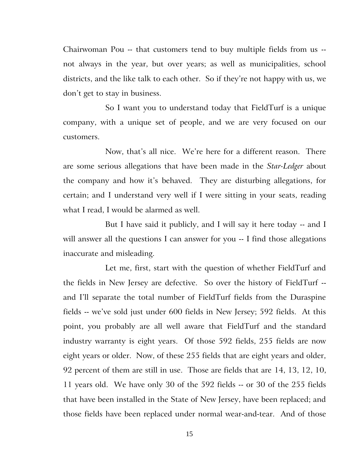Chairwoman Pou -- that customers tend to buy multiple fields from us - not always in the year, but over years; as well as municipalities, school districts, and the like talk to each other. So if they're not happy with us, we don't get to stay in business.

So I want you to understand today that FieldTurf is a unique company, with a unique set of people, and we are very focused on our customers.

Now, that's all nice. We're here for a different reason. There are some serious allegations that have been made in the *Star-Ledger* about the company and how it's behaved. They are disturbing allegations, for certain; and I understand very well if I were sitting in your seats, reading what I read, I would be alarmed as well.

But I have said it publicly, and I will say it here today -- and I will answer all the questions I can answer for you -- I find those allegations inaccurate and misleading.

Let me, first, start with the question of whether FieldTurf and the fields in New Jersey are defective. So over the history of FieldTurf - and I'll separate the total number of FieldTurf fields from the Duraspine fields -- we've sold just under 600 fields in New Jersey; 592 fields. At this point, you probably are all well aware that FieldTurf and the standard industry warranty is eight years. Of those 592 fields, 255 fields are now eight years or older. Now, of these 255 fields that are eight years and older, 92 percent of them are still in use. Those are fields that are 14, 13, 12, 10, 11 years old. We have only 30 of the 592 fields -- or 30 of the 255 fields that have been installed in the State of New Jersey, have been replaced; and those fields have been replaced under normal wear-and-tear. And of those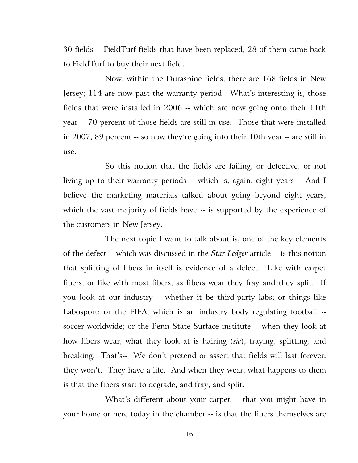30 fields -- FieldTurf fields that have been replaced, 28 of them came back to FieldTurf to buy their next field.

Now, within the Duraspine fields, there are 168 fields in New Jersey; 114 are now past the warranty period. What's interesting is, those fields that were installed in 2006 -- which are now going onto their 11th year -- 70 percent of those fields are still in use. Those that were installed in 2007, 89 percent -- so now they're going into their 10th year -- are still in use.

So this notion that the fields are failing, or defective, or not living up to their warranty periods -- which is, again, eight years-- And I believe the marketing materials talked about going beyond eight years, which the vast majority of fields have -- is supported by the experience of the customers in New Jersey.

The next topic I want to talk about is, one of the key elements of the defect -- which was discussed in the *Star-Ledger* article -- is this notion that splitting of fibers in itself is evidence of a defect. Like with carpet fibers, or like with most fibers, as fibers wear they fray and they split. If you look at our industry -- whether it be third-party labs; or things like Labosport; or the FIFA, which is an industry body regulating football - soccer worldwide; or the Penn State Surface institute -- when they look at how fibers wear, what they look at is hairing (*sic*), fraying, splitting, and breaking. That's-- We don't pretend or assert that fields will last forever; they won't. They have a life. And when they wear, what happens to them is that the fibers start to degrade, and fray, and split.

What's different about your carpet -- that you might have in your home or here today in the chamber -- is that the fibers themselves are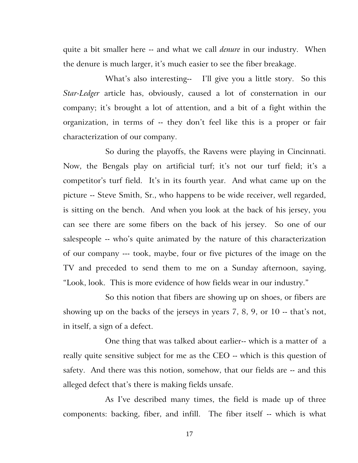quite a bit smaller here -- and what we call *denure* in our industry. When the denure is much larger, it's much easier to see the fiber breakage.

What's also interesting-- I'll give you a little story. So this *Star-Ledger* article has, obviously, caused a lot of consternation in our company; it's brought a lot of attention, and a bit of a fight within the organization, in terms of -- they don't feel like this is a proper or fair characterization of our company.

So during the playoffs, the Ravens were playing in Cincinnati. Now, the Bengals play on artificial turf; it's not our turf field; it's a competitor's turf field. It's in its fourth year. And what came up on the picture -- Steve Smith, Sr., who happens to be wide receiver, well regarded, is sitting on the bench. And when you look at the back of his jersey, you can see there are some fibers on the back of his jersey. So one of our salespeople -- who's quite animated by the nature of this characterization of our company --- took, maybe, four or five pictures of the image on the TV and preceded to send them to me on a Sunday afternoon, saying, "Look, look. This is more evidence of how fields wear in our industry."

So this notion that fibers are showing up on shoes, or fibers are showing up on the backs of the jerseys in years 7, 8, 9, or 10 -- that's not, in itself, a sign of a defect.

One thing that was talked about earlier-- which is a matter of a really quite sensitive subject for me as the CEO -- which is this question of safety. And there was this notion, somehow, that our fields are -- and this alleged defect that's there is making fields unsafe.

As I've described many times, the field is made up of three components: backing, fiber, and infill. The fiber itself -- which is what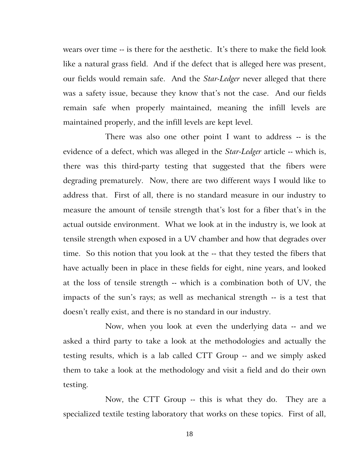wears over time -- is there for the aesthetic. It's there to make the field look like a natural grass field. And if the defect that is alleged here was present, our fields would remain safe. And the *Star-Ledger* never alleged that there was a safety issue, because they know that's not the case. And our fields remain safe when properly maintained, meaning the infill levels are maintained properly, and the infill levels are kept level.

There was also one other point I want to address -- is the evidence of a defect, which was alleged in the *Star-Ledger* article -- which is, there was this third-party testing that suggested that the fibers were degrading prematurely. Now, there are two different ways I would like to address that. First of all, there is no standard measure in our industry to measure the amount of tensile strength that's lost for a fiber that's in the actual outside environment. What we look at in the industry is, we look at tensile strength when exposed in a UV chamber and how that degrades over time. So this notion that you look at the -- that they tested the fibers that have actually been in place in these fields for eight, nine years, and looked at the loss of tensile strength -- which is a combination both of UV, the impacts of the sun's rays; as well as mechanical strength -- is a test that doesn't really exist, and there is no standard in our industry.

Now, when you look at even the underlying data -- and we asked a third party to take a look at the methodologies and actually the testing results, which is a lab called CTT Group -- and we simply asked them to take a look at the methodology and visit a field and do their own testing.

Now, the CTT Group -- this is what they do. They are a specialized textile testing laboratory that works on these topics. First of all,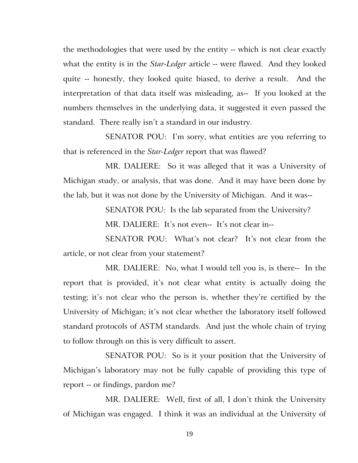the methodologies that were used by the entity -- which is not clear exactly what the entity is in the *Star-Ledger* article -- were flawed. And they looked quite -- honestly, they looked quite biased, to derive a result. And the interpretation of that data itself was misleading, as-- If you looked at the numbers themselves in the underlying data, it suggested it even passed the standard. There really isn't a standard in our industry.

SENATOR POU: I'm sorry, what entities are you referring to that is referenced in the *Star-Ledger* report that was flawed?

MR. DALIERE: So it was alleged that it was a University of Michigan study, or analysis, that was done. And it may have been done by the lab, but it was not done by the University of Michigan. And it was--

SENATOR POU: Is the lab separated from the University?

MR. DALIERE: It's not even-- It's not clear in--

SENATOR POU: What's not clear? It's not clear from the article, or not clear from your statement?

MR. DALIERE: No, what I would tell you is, is there-- In the report that is provided, it's not clear what entity is actually doing the testing; it's not clear who the person is, whether they're certified by the University of Michigan; it's not clear whether the laboratory itself followed standard protocols of ASTM standards. And just the whole chain of trying to follow through on this is very difficult to assert.

SENATOR POU: So is it your position that the University of Michigan's laboratory may not be fully capable of providing this type of report -- or findings, pardon me?

MR. DALIERE: Well, first of all, I don't think the University of Michigan was engaged. I think it was an individual at the University of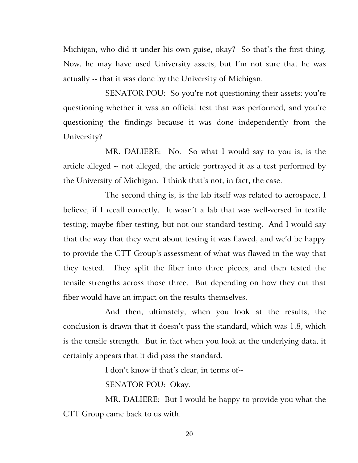Michigan, who did it under his own guise, okay? So that's the first thing. Now, he may have used University assets, but I'm not sure that he was actually -- that it was done by the University of Michigan.

SENATOR POU: So you're not questioning their assets; you're questioning whether it was an official test that was performed, and you're questioning the findings because it was done independently from the University?

MR. DALIERE: No. So what I would say to you is, is the article alleged -- not alleged, the article portrayed it as a test performed by the University of Michigan. I think that's not, in fact, the case.

The second thing is, is the lab itself was related to aerospace, I believe, if I recall correctly. It wasn't a lab that was well-versed in textile testing; maybe fiber testing, but not our standard testing. And I would say that the way that they went about testing it was flawed, and we'd be happy to provide the CTT Group's assessment of what was flawed in the way that they tested. They split the fiber into three pieces, and then tested the tensile strengths across those three. But depending on how they cut that fiber would have an impact on the results themselves.

And then, ultimately, when you look at the results, the conclusion is drawn that it doesn't pass the standard, which was 1.8, which is the tensile strength. But in fact when you look at the underlying data, it certainly appears that it did pass the standard.

I don't know if that's clear, in terms of--

SENATOR POU: Okay.

MR. DALIERE: But I would be happy to provide you what the CTT Group came back to us with.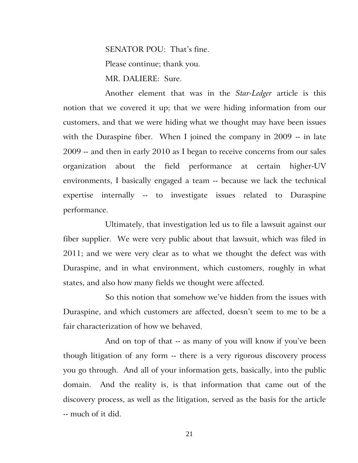SENATOR POU: That's fine. Please continue; thank you. MR. DALIERE: Sure.

Another element that was in the *Star-Ledger* article is this notion that we covered it up; that we were hiding information from our customers, and that we were hiding what we thought may have been issues with the Duraspine fiber. When I joined the company in 2009 -- in late 2009 -- and then in early 2010 as I began to receive concerns from our sales organization about the field performance at certain higher-UV environments, I basically engaged a team -- because we lack the technical expertise internally -- to investigate issues related to Duraspine performance.

Ultimately, that investigation led us to file a lawsuit against our fiber supplier. We were very public about that lawsuit, which was filed in 2011; and we were very clear as to what we thought the defect was with Duraspine, and in what environment, which customers, roughly in what states, and also how many fields we thought were affected.

So this notion that somehow we've hidden from the issues with Duraspine, and which customers are affected, doesn't seem to me to be a fair characterization of how we behaved.

And on top of that -- as many of you will know if you've been though litigation of any form -- there is a very rigorous discovery process you go through. And all of your information gets, basically, into the public domain. And the reality is, is that information that came out of the discovery process, as well as the litigation, served as the basis for the article -- much of it did.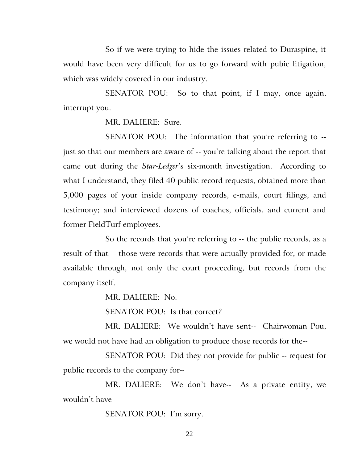So if we were trying to hide the issues related to Duraspine, it would have been very difficult for us to go forward with pubic litigation, which was widely covered in our industry.

SENATOR POU: So to that point, if I may, once again, interrupt you.

MR. DALIERE: Sure.

SENATOR POU: The information that you're referring to -just so that our members are aware of -- you're talking about the report that came out during the *Star-Ledger*'s six-month investigation. According to what I understand, they filed 40 public record requests, obtained more than 5,000 pages of your inside company records, e-mails, court filings, and testimony; and interviewed dozens of coaches, officials, and current and former FieldTurf employees.

So the records that you're referring to -- the public records, as a result of that -- those were records that were actually provided for, or made available through, not only the court proceeding, but records from the company itself.

MR. DALIERE: No.

SENATOR POU: Is that correct?

MR. DALIERE: We wouldn't have sent-- Chairwoman Pou, we would not have had an obligation to produce those records for the--

SENATOR POU: Did they not provide for public -- request for public records to the company for--

MR. DALIERE: We don't have-- As a private entity, we wouldn't have--

SENATOR POU: I'm sorry.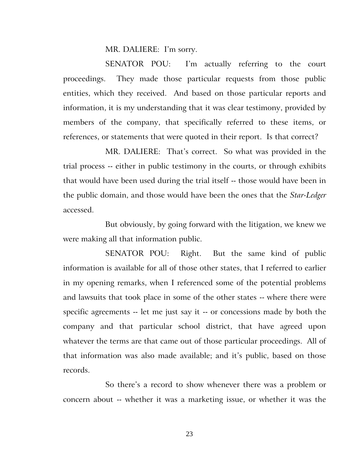MR. DALIERE: I'm sorry.

SENATOR POU: I'm actually referring to the court proceedings. They made those particular requests from those public entities, which they received. And based on those particular reports and information, it is my understanding that it was clear testimony, provided by members of the company, that specifically referred to these items, or references, or statements that were quoted in their report. Is that correct?

MR. DALIERE: That's correct. So what was provided in the trial process -- either in public testimony in the courts, or through exhibits that would have been used during the trial itself -- those would have been in the public domain, and those would have been the ones that the *Star-Ledger* accessed.

But obviously, by going forward with the litigation, we knew we were making all that information public.

SENATOR POU: Right. But the same kind of public information is available for all of those other states, that I referred to earlier in my opening remarks, when I referenced some of the potential problems and lawsuits that took place in some of the other states -- where there were specific agreements -- let me just say it -- or concessions made by both the company and that particular school district, that have agreed upon whatever the terms are that came out of those particular proceedings. All of that information was also made available; and it's public, based on those records.

So there's a record to show whenever there was a problem or concern about -- whether it was a marketing issue, or whether it was the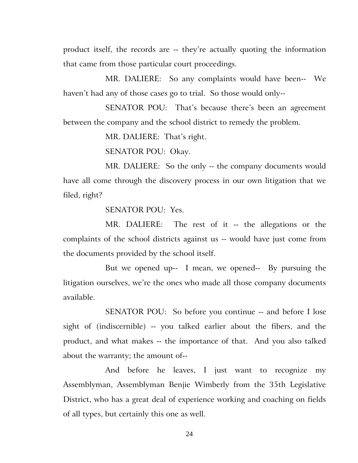product itself, the records are -- they're actually quoting the information that came from those particular court proceedings.

MR. DALIERE: So any complaints would have been-- We haven't had any of those cases go to trial. So those would only--

SENATOR POU: That's because there's been an agreement between the company and the school district to remedy the problem.

MR. DALIERE: That's right.

SENATOR POU: Okay.

MR. DALIERE: So the only -- the company documents would have all come through the discovery process in our own litigation that we filed, right?

SENATOR POU: Yes.

MR. DALIERE: The rest of it -- the allegations or the complaints of the school districts against us -- would have just come from the documents provided by the school itself.

But we opened up-- I mean, we opened-- By pursuing the litigation ourselves, we're the ones who made all those company documents available.

SENATOR POU: So before you continue -- and before I lose sight of (indiscernible) -- you talked earlier about the fibers, and the product, and what makes -- the importance of that. And you also talked about the warranty; the amount of--

And before he leaves, I just want to recognize my Assemblyman, Assemblyman Benjie Wimberly from the 35th Legislative District, who has a great deal of experience working and coaching on fields of all types, but certainly this one as well.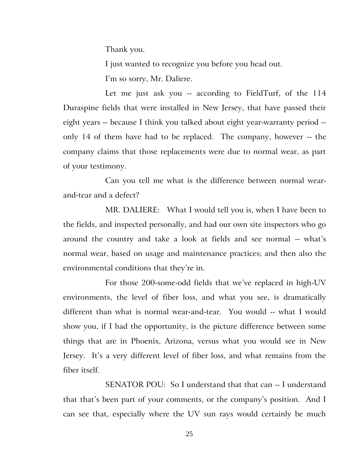Thank you.

I just wanted to recognize you before you head out.

I'm so sorry, Mr. Daliere.

Let me just ask you -- according to FieldTurf, of the 114 Duraspine fields that were installed in New Jersey, that have passed their eight years -- because I think you talked about eight year-warranty period - only 14 of them have had to be replaced. The company, however -- the company claims that those replacements were due to normal wear, as part of your testimony.

Can you tell me what is the difference between normal wearand-tear and a defect?

MR. DALIERE: What I would tell you is, when I have been to the fields, and inspected personally, and had our own site inspectors who go around the country and take a look at fields and see normal -- what's normal wear, based on usage and maintenance practices; and then also the environmental conditions that they're in.

For those 200-some-odd fields that we've replaced in high-UV environments, the level of fiber loss, and what you see, is dramatically different than what is normal wear-and-tear. You would -- what I would show you, if I had the opportunity, is the picture difference between some things that are in Phoenix, Arizona, versus what you would see in New Jersey. It's a very different level of fiber loss, and what remains from the fiber itself.

SENATOR POU: So I understand that that can -- I understand that that's been part of your comments, or the company's position. And I can see that, especially where the UV sun rays would certainly be much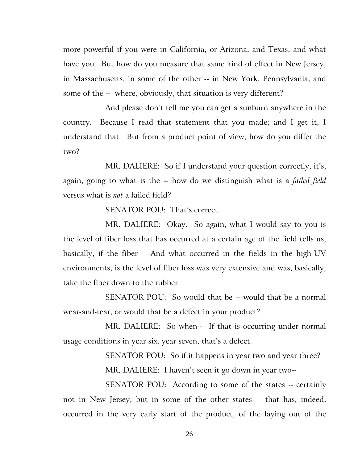more powerful if you were in California, or Arizona, and Texas, and what have you. But how do you measure that same kind of effect in New Jersey, in Massachusetts, in some of the other -- in New York, Pennsylvania, and some of the -- where, obviously, that situation is very different?

And please don't tell me you can get a sunburn anywhere in the country. Because I read that statement that you made; and I get it, I understand that. But from a product point of view, how do you differ the two?

MR. DALIERE: So if I understand your question correctly, it's, again, going to what is the -- how do we distinguish what is a *failed field* versus what is *not* a failed field?

SENATOR POU: That's correct.

MR. DALIERE: Okay. So again, what I would say to you is the level of fiber loss that has occurred at a certain age of the field tells us, basically, if the fiber-- And what occurred in the fields in the high-UV environments, is the level of fiber loss was very extensive and was, basically, take the fiber down to the rubber.

SENATOR POU: So would that be -- would that be a normal wear-and-tear, or would that be a defect in your product?

MR. DALIERE: So when-- If that is occurring under normal usage conditions in year six, year seven, that's a defect.

SENATOR POU: So if it happens in year two and year three?

MR. DALIERE: I haven't seen it go down in year two--

SENATOR POU: According to some of the states -- certainly not in New Jersey, but in some of the other states -- that has, indeed, occurred in the very early start of the product, of the laying out of the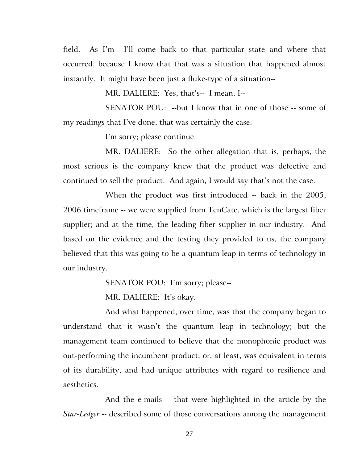field. As I'm-- I'll come back to that particular state and where that occurred, because I know that that was a situation that happened almost instantly. It might have been just a fluke-type of a situation--

MR. DALIERE: Yes, that's-- I mean, I--

SENATOR POU: --but I know that in one of those -- some of my readings that I've done, that was certainly the case.

I'm sorry; please continue.

MR. DALIERE: So the other allegation that is, perhaps, the most serious is the company knew that the product was defective and continued to sell the product. And again, I would say that's not the case.

When the product was first introduced -- back in the 2005, 2006 timeframe -- we were supplied from TenCate, which is the largest fiber supplier; and at the time, the leading fiber supplier in our industry. And based on the evidence and the testing they provided to us, the company believed that this was going to be a quantum leap in terms of technology in our industry.

SENATOR POU: I'm sorry; please--

MR. DALIERE: It's okay.

And what happened, over time, was that the company began to understand that it wasn't the quantum leap in technology; but the management team continued to believe that the monophonic product was out-performing the incumbent product; or, at least, was equivalent in terms of its durability, and had unique attributes with regard to resilience and aesthetics.

And the e-mails -- that were highlighted in the article by the *Star-Ledger* -- described some of those conversations among the management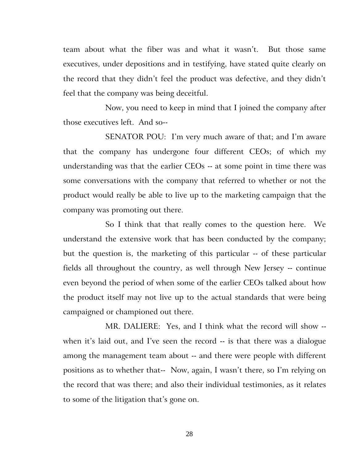team about what the fiber was and what it wasn't. But those same executives, under depositions and in testifying, have stated quite clearly on the record that they didn't feel the product was defective, and they didn't feel that the company was being deceitful.

Now, you need to keep in mind that I joined the company after those executives left. And so--

SENATOR POU: I'm very much aware of that; and I'm aware that the company has undergone four different CEOs; of which my understanding was that the earlier CEOs -- at some point in time there was some conversations with the company that referred to whether or not the product would really be able to live up to the marketing campaign that the company was promoting out there.

So I think that that really comes to the question here. We understand the extensive work that has been conducted by the company; but the question is, the marketing of this particular -- of these particular fields all throughout the country, as well through New Jersey -- continue even beyond the period of when some of the earlier CEOs talked about how the product itself may not live up to the actual standards that were being campaigned or championed out there.

MR. DALIERE: Yes, and I think what the record will show - when it's laid out, and I've seen the record -- is that there was a dialogue among the management team about -- and there were people with different positions as to whether that-- Now, again, I wasn't there, so I'm relying on the record that was there; and also their individual testimonies, as it relates to some of the litigation that's gone on.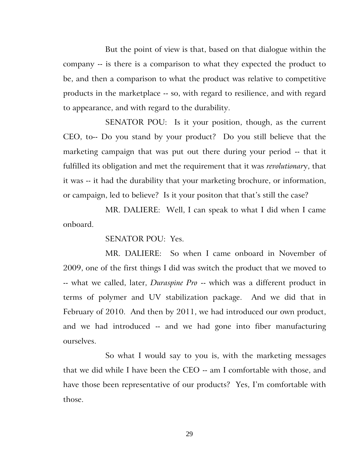But the point of view is that, based on that dialogue within the company -- is there is a comparison to what they expected the product to be, and then a comparison to what the product was relative to competitive products in the marketplace -- so, with regard to resilience, and with regard to appearance, and with regard to the durability.

SENATOR POU: Is it your position, though, as the current CEO, to-- Do you stand by your product? Do you still believe that the marketing campaign that was put out there during your period -- that it fulfilled its obligation and met the requirement that it was *revolutionar*y, that it was -- it had the durability that your marketing brochure, or information, or campaign, led to believe? Is it your positon that that's still the case?

MR. DALIERE: Well, I can speak to what I did when I came onboard.

SENATOR POU: Yes.

MR. DALIERE: So when I came onboard in November of 2009, one of the first things I did was switch the product that we moved to -- what we called, later, *Duraspine Pro* -- which was a different product in terms of polymer and UV stabilization package. And we did that in February of 2010. And then by 2011, we had introduced our own product, and we had introduced -- and we had gone into fiber manufacturing ourselves.

So what I would say to you is, with the marketing messages that we did while I have been the CEO -- am I comfortable with those, and have those been representative of our products? Yes, I'm comfortable with those.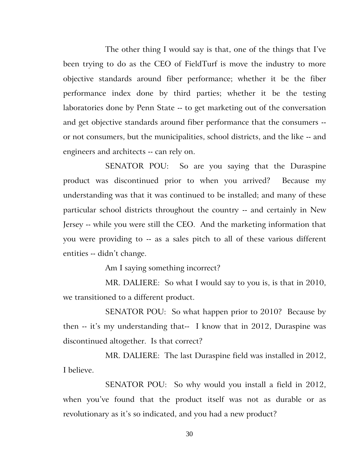The other thing I would say is that, one of the things that I've been trying to do as the CEO of FieldTurf is move the industry to more objective standards around fiber performance; whether it be the fiber performance index done by third parties; whether it be the testing laboratories done by Penn State -- to get marketing out of the conversation and get objective standards around fiber performance that the consumers - or not consumers, but the municipalities, school districts, and the like -- and engineers and architects -- can rely on.

SENATOR POU: So are you saying that the Duraspine product was discontinued prior to when you arrived? Because my understanding was that it was continued to be installed; and many of these particular school districts throughout the country -- and certainly in New Jersey -- while you were still the CEO. And the marketing information that you were providing to -- as a sales pitch to all of these various different entities -- didn't change.

Am I saying something incorrect?

MR. DALIERE: So what I would say to you is, is that in 2010, we transitioned to a different product.

SENATOR POU: So what happen prior to 2010? Because by then -- it's my understanding that-- I know that in 2012, Duraspine was discontinued altogether. Is that correct?

MR. DALIERE: The last Duraspine field was installed in 2012, I believe.

SENATOR POU: So why would you install a field in 2012, when you've found that the product itself was not as durable or as revolutionary as it's so indicated, and you had a new product?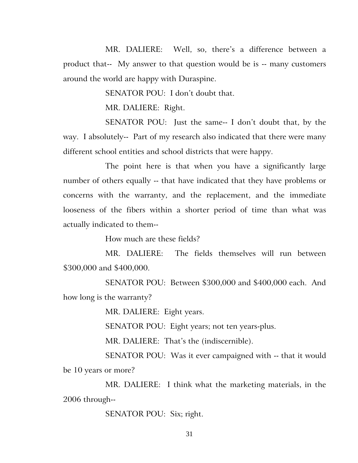MR. DALIERE: Well, so, there's a difference between a product that-- My answer to that question would be is -- many customers around the world are happy with Duraspine.

SENATOR POU: I don't doubt that.

MR. DALIERE: Right.

SENATOR POU: Just the same-- I don't doubt that, by the way. I absolutely-- Part of my research also indicated that there were many different school entities and school districts that were happy.

The point here is that when you have a significantly large number of others equally -- that have indicated that they have problems or concerns with the warranty, and the replacement, and the immediate looseness of the fibers within a shorter period of time than what was actually indicated to them--

How much are these fields?

MR. DALIERE: The fields themselves will run between \$300,000 and \$400,000.

SENATOR POU: Between \$300,000 and \$400,000 each. And how long is the warranty?

MR. DALIERE: Eight years.

SENATOR POU: Eight years; not ten years-plus.

MR. DALIERE: That's the (indiscernible).

SENATOR POU: Was it ever campaigned with -- that it would be 10 years or more?

MR. DALIERE: I think what the marketing materials, in the 2006 through--

SENATOR POU: Six; right.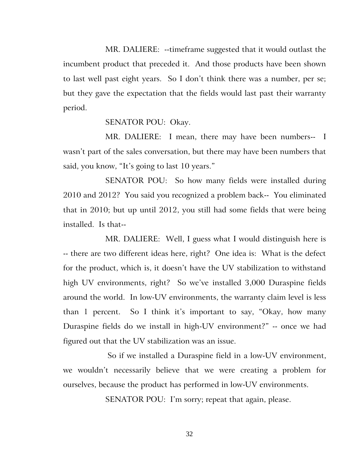MR. DALIERE: --timeframe suggested that it would outlast the incumbent product that preceded it. And those products have been shown to last well past eight years. So I don't think there was a number, per se; but they gave the expectation that the fields would last past their warranty period.

SENATOR POU: Okay.

MR. DALIERE: I mean, there may have been numbers-- I wasn't part of the sales conversation, but there may have been numbers that said, you know, "It's going to last 10 years."

SENATOR POU: So how many fields were installed during 2010 and 2012? You said you recognized a problem back-- You eliminated that in 2010; but up until 2012, you still had some fields that were being installed. Is that--

MR. DALIERE: Well, I guess what I would distinguish here is -- there are two different ideas here, right? One idea is: What is the defect for the product, which is, it doesn't have the UV stabilization to withstand high UV environments, right? So we've installed 3,000 Duraspine fields around the world. In low-UV environments, the warranty claim level is less than 1 percent. So I think it's important to say, "Okay, how many Duraspine fields do we install in high-UV environment?" -- once we had figured out that the UV stabilization was an issue.

 So if we installed a Duraspine field in a low-UV environment, we wouldn't necessarily believe that we were creating a problem for ourselves, because the product has performed in low-UV environments.

SENATOR POU: I'm sorry; repeat that again, please.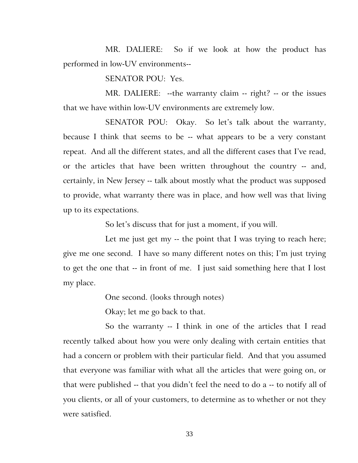MR. DALIERE: So if we look at how the product has performed in low-UV environments--

SENATOR POU: Yes.

MR. DALIERE: --the warranty claim -- right? -- or the issues that we have within low-UV environments are extremely low.

SENATOR POU: Okay. So let's talk about the warranty, because I think that seems to be -- what appears to be a very constant repeat. And all the different states, and all the different cases that I've read, or the articles that have been written throughout the country -- and, certainly, in New Jersey -- talk about mostly what the product was supposed to provide, what warranty there was in place, and how well was that living up to its expectations.

So let's discuss that for just a moment, if you will.

Let me just get my -- the point that I was trying to reach here; give me one second. I have so many different notes on this; I'm just trying to get the one that -- in front of me. I just said something here that I lost my place.

One second. (looks through notes)

Okay; let me go back to that.

So the warranty -- I think in one of the articles that I read recently talked about how you were only dealing with certain entities that had a concern or problem with their particular field. And that you assumed that everyone was familiar with what all the articles that were going on, or that were published -- that you didn't feel the need to do a -- to notify all of you clients, or all of your customers, to determine as to whether or not they were satisfied.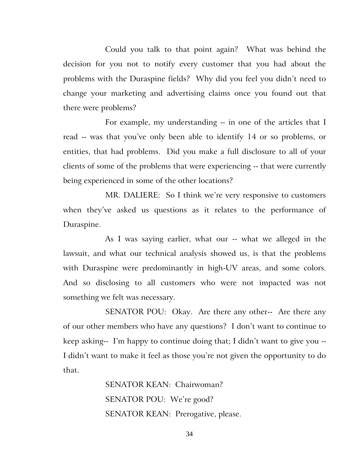Could you talk to that point again? What was behind the decision for you not to notify every customer that you had about the problems with the Duraspine fields? Why did you feel you didn't need to change your marketing and advertising claims once you found out that there were problems?

For example, my understanding -- in one of the articles that I read -- was that you've only been able to identify 14 or so problems, or entities, that had problems. Did you make a full disclosure to all of your clients of some of the problems that were experiencing -- that were currently being experienced in some of the other locations?

MR. DALIERE: So I think we're very responsive to customers when they've asked us questions as it relates to the performance of Duraspine.

As I was saying earlier, what our -- what we alleged in the lawsuit, and what our technical analysis showed us, is that the problems with Duraspine were predominantly in high-UV areas, and some colors. And so disclosing to all customers who were not impacted was not something we felt was necessary.

SENATOR POU: Okay. Are there any other-- Are there any of our other members who have any questions? I don't want to continue to keep asking-- I'm happy to continue doing that; I didn't want to give you -- I didn't want to make it feel as those you're not given the opportunity to do that.

> SENATOR KEAN: Chairwoman? SENATOR POU: We're good? SENATOR KEAN: Prerogative, please.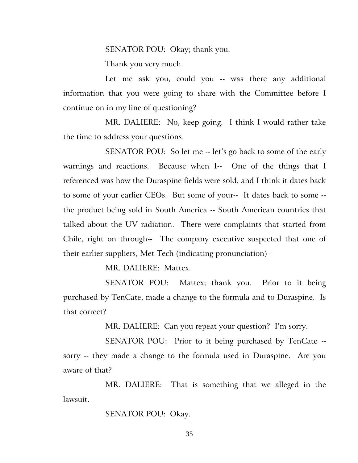SENATOR POU: Okay; thank you.

Thank you very much.

Let me ask you, could you -- was there any additional information that you were going to share with the Committee before I continue on in my line of questioning?

MR. DALIERE: No, keep going. I think I would rather take the time to address your questions.

SENATOR POU: So let me -- let's go back to some of the early warnings and reactions. Because when I-- One of the things that I referenced was how the Duraspine fields were sold, and I think it dates back to some of your earlier CEOs. But some of your-- It dates back to some - the product being sold in South America -- South American countries that talked about the UV radiation. There were complaints that started from Chile, right on through-- The company executive suspected that one of their earlier suppliers, Met Tech (indicating pronunciation)--

MR. DALIERE: Mattex.

SENATOR POU: Mattex; thank you. Prior to it being purchased by TenCate, made a change to the formula and to Duraspine. Is that correct?

MR. DALIERE: Can you repeat your question? I'm sorry.

SENATOR POU: Prior to it being purchased by TenCate - sorry -- they made a change to the formula used in Duraspine. Are you aware of that?

MR. DALIERE: That is something that we alleged in the lawsuit.

SENATOR POU: Okay.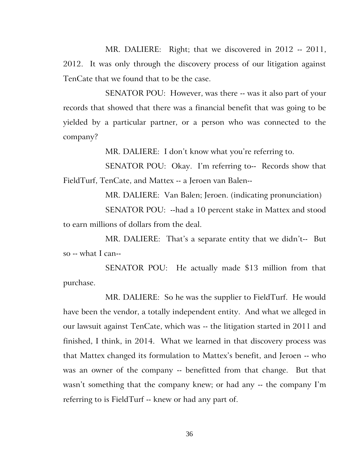MR. DALIERE: Right; that we discovered in 2012 -- 2011, 2012. It was only through the discovery process of our litigation against TenCate that we found that to be the case.

SENATOR POU: However, was there -- was it also part of your records that showed that there was a financial benefit that was going to be yielded by a particular partner, or a person who was connected to the company?

MR. DALIERE: I don't know what you're referring to.

SENATOR POU: Okay. I'm referring to-- Records show that FieldTurf, TenCate, and Mattex -- a Jeroen van Balen--

MR. DALIERE: Van Balen; Jeroen. (indicating pronunciation)

SENATOR POU: --had a 10 percent stake in Mattex and stood to earn millions of dollars from the deal.

MR. DALIERE: That's a separate entity that we didn't-- But so -- what I can--

SENATOR POU: He actually made \$13 million from that purchase.

MR. DALIERE: So he was the supplier to FieldTurf. He would have been the vendor, a totally independent entity. And what we alleged in our lawsuit against TenCate, which was -- the litigation started in 2011 and finished, I think, in 2014. What we learned in that discovery process was that Mattex changed its formulation to Mattex's benefit, and Jeroen -- who was an owner of the company -- benefitted from that change. But that wasn't something that the company knew; or had any -- the company I'm referring to is FieldTurf -- knew or had any part of.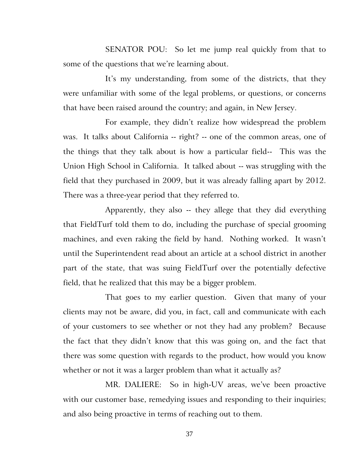SENATOR POU: So let me jump real quickly from that to some of the questions that we're learning about.

It's my understanding, from some of the districts, that they were unfamiliar with some of the legal problems, or questions, or concerns that have been raised around the country; and again, in New Jersey.

For example, they didn't realize how widespread the problem was. It talks about California -- right? -- one of the common areas, one of the things that they talk about is how a particular field-- This was the Union High School in California. It talked about -- was struggling with the field that they purchased in 2009, but it was already falling apart by 2012. There was a three-year period that they referred to.

Apparently, they also -- they allege that they did everything that FieldTurf told them to do, including the purchase of special grooming machines, and even raking the field by hand. Nothing worked. It wasn't until the Superintendent read about an article at a school district in another part of the state, that was suing FieldTurf over the potentially defective field, that he realized that this may be a bigger problem.

That goes to my earlier question. Given that many of your clients may not be aware, did you, in fact, call and communicate with each of your customers to see whether or not they had any problem? Because the fact that they didn't know that this was going on, and the fact that there was some question with regards to the product, how would you know whether or not it was a larger problem than what it actually as?

MR. DALIERE: So in high-UV areas, we've been proactive with our customer base, remedying issues and responding to their inquiries; and also being proactive in terms of reaching out to them.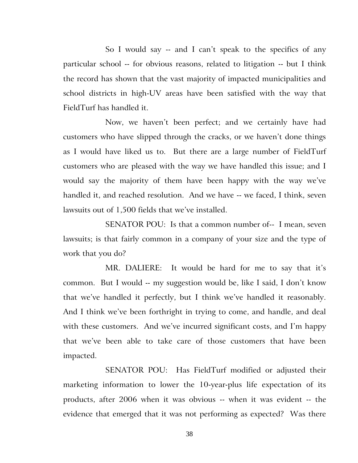So I would say -- and I can't speak to the specifics of any particular school -- for obvious reasons, related to litigation -- but I think the record has shown that the vast majority of impacted municipalities and school districts in high-UV areas have been satisfied with the way that FieldTurf has handled it.

Now, we haven't been perfect; and we certainly have had customers who have slipped through the cracks, or we haven't done things as I would have liked us to. But there are a large number of FieldTurf customers who are pleased with the way we have handled this issue; and I would say the majority of them have been happy with the way we've handled it, and reached resolution. And we have -- we faced, I think, seven lawsuits out of 1,500 fields that we've installed.

SENATOR POU: Is that a common number of-- I mean, seven lawsuits; is that fairly common in a company of your size and the type of work that you do?

MR. DALIERE: It would be hard for me to say that it's common. But I would -- my suggestion would be, like I said, I don't know that we've handled it perfectly, but I think we've handled it reasonably. And I think we've been forthright in trying to come, and handle, and deal with these customers. And we've incurred significant costs, and I'm happy that we've been able to take care of those customers that have been impacted.

SENATOR POU: Has FieldTurf modified or adjusted their marketing information to lower the 10-year-plus life expectation of its products, after 2006 when it was obvious -- when it was evident -- the evidence that emerged that it was not performing as expected? Was there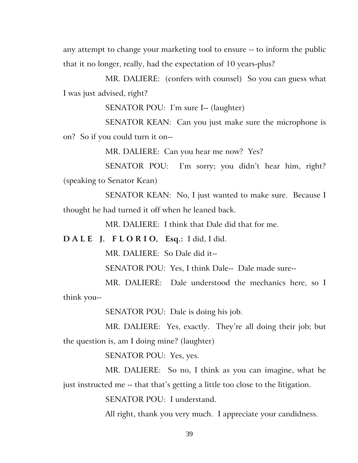any attempt to change your marketing tool to ensure -- to inform the public that it no longer, really, had the expectation of 10 years-plus?

MR. DALIERE: (confers with counsel) So you can guess what I was just advised, right?

SENATOR POU: I'm sure I-- (laughter)

SENATOR KEAN: Can you just make sure the microphone is on? So if you could turn it on--

MR. DALIERE: Can you hear me now? Yes?

SENATOR POU: I'm sorry; you didn't hear him, right? (speaking to Senator Kean)

SENATOR KEAN: No, I just wanted to make sure. Because I thought he had turned it off when he leaned back.

MR. DALIERE: I think that Dale did that for me.

**D A L E J. F L O R I O, Esq.:** I did, I did.

MR. DALIERE: So Dale did it--

SENATOR POU: Yes, I think Dale-- Dale made sure--

MR. DALIERE: Dale understood the mechanics here, so I think you--

SENATOR POU: Dale is doing his job.

MR. DALIERE: Yes, exactly. They're all doing their job; but the question is, am I doing mine? (laughter)

SENATOR POU: Yes, yes.

MR. DALIERE: So no, I think as you can imagine, what he just instructed me -- that that's getting a little too close to the litigation.

SENATOR POU: I understand.

All right, thank you very much. I appreciate your candidness.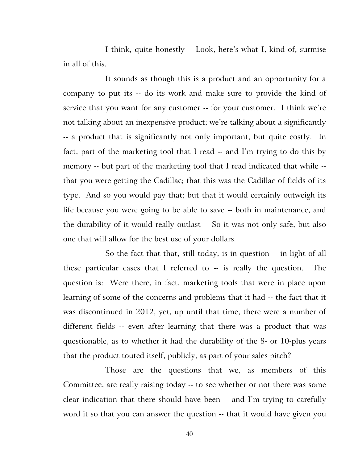I think, quite honestly-- Look, here's what I, kind of, surmise in all of this.

It sounds as though this is a product and an opportunity for a company to put its -- do its work and make sure to provide the kind of service that you want for any customer -- for your customer. I think we're not talking about an inexpensive product; we're talking about a significantly -- a product that is significantly not only important, but quite costly. In fact, part of the marketing tool that I read -- and I'm trying to do this by memory -- but part of the marketing tool that I read indicated that while - that you were getting the Cadillac; that this was the Cadillac of fields of its type. And so you would pay that; but that it would certainly outweigh its life because you were going to be able to save -- both in maintenance, and the durability of it would really outlast-- So it was not only safe, but also one that will allow for the best use of your dollars.

So the fact that that, still today, is in question -- in light of all these particular cases that I referred to -- is really the question. The question is: Were there, in fact, marketing tools that were in place upon learning of some of the concerns and problems that it had -- the fact that it was discontinued in 2012, yet, up until that time, there were a number of different fields -- even after learning that there was a product that was questionable, as to whether it had the durability of the 8- or 10-plus years that the product touted itself, publicly, as part of your sales pitch?

Those are the questions that we, as members of this Committee, are really raising today -- to see whether or not there was some clear indication that there should have been -- and I'm trying to carefully word it so that you can answer the question -- that it would have given you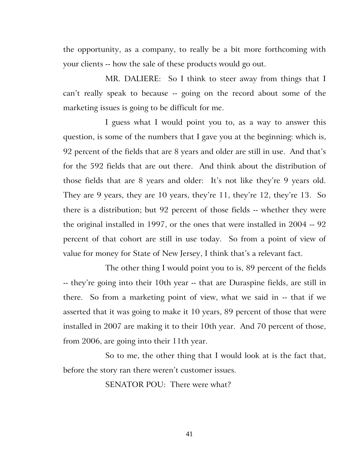the opportunity, as a company, to really be a bit more forthcoming with your clients -- how the sale of these products would go out.

MR. DALIERE: So I think to steer away from things that I can't really speak to because -- going on the record about some of the marketing issues is going to be difficult for me.

I guess what I would point you to, as a way to answer this question, is some of the numbers that I gave you at the beginning: which is, 92 percent of the fields that are 8 years and older are still in use. And that's for the 592 fields that are out there. And think about the distribution of those fields that are 8 years and older: It's not like they're 9 years old. They are 9 years, they are 10 years, they're 11, they're 12, they're 13. So there is a distribution; but 92 percent of those fields -- whether they were the original installed in 1997, or the ones that were installed in 2004 -- 92 percent of that cohort are still in use today. So from a point of view of value for money for State of New Jersey, I think that's a relevant fact.

The other thing I would point you to is, 89 percent of the fields -- they're going into their 10th year -- that are Duraspine fields, are still in there. So from a marketing point of view, what we said in -- that if we asserted that it was going to make it 10 years, 89 percent of those that were installed in 2007 are making it to their 10th year. And 70 percent of those, from 2006, are going into their 11th year.

So to me, the other thing that I would look at is the fact that, before the story ran there weren't customer issues.

SENATOR POU: There were what?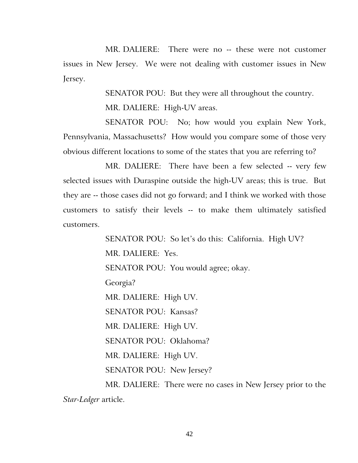MR. DALIERE: There were no -- these were not customer issues in New Jersey. We were not dealing with customer issues in New Jersey.

SENATOR POU: But they were all throughout the country.

MR. DALIERE: High-UV areas.

SENATOR POU: No; how would you explain New York, Pennsylvania, Massachusetts? How would you compare some of those very obvious different locations to some of the states that you are referring to?

MR. DALIERE: There have been a few selected -- very few selected issues with Duraspine outside the high-UV areas; this is true. But they are -- those cases did not go forward; and I think we worked with those customers to satisfy their levels -- to make them ultimately satisfied customers.

> SENATOR POU: So let's do this: California. High UV? MR. DALIERE: Yes. SENATOR POU: You would agree; okay. Georgia? MR. DALIERE: High UV. SENATOR POU: Kansas? MR. DALIERE: High UV. SENATOR POU: Oklahoma? MR. DALIERE: High UV. SENATOR POU: New Jersey? MR. DALIERE: There were no cases in New Jersey prior to the

*Star-Ledger* article.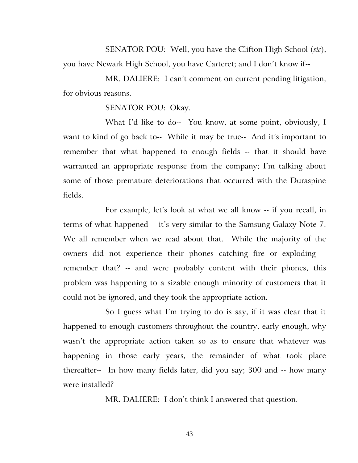SENATOR POU: Well, you have the Clifton High School (*sic*), you have Newark High School, you have Carteret; and I don't know if--

MR. DALIERE: I can't comment on current pending litigation, for obvious reasons.

SENATOR POU: Okay.

What I'd like to do-- You know, at some point, obviously, I want to kind of go back to-- While it may be true-- And it's important to remember that what happened to enough fields -- that it should have warranted an appropriate response from the company; I'm talking about some of those premature deteriorations that occurred with the Duraspine fields.

For example, let's look at what we all know -- if you recall, in terms of what happened -- it's very similar to the Samsung Galaxy Note 7. We all remember when we read about that. While the majority of the owners did not experience their phones catching fire or exploding - remember that? -- and were probably content with their phones, this problem was happening to a sizable enough minority of customers that it could not be ignored, and they took the appropriate action.

So I guess what I'm trying to do is say, if it was clear that it happened to enough customers throughout the country, early enough, why wasn't the appropriate action taken so as to ensure that whatever was happening in those early years, the remainder of what took place thereafter-- In how many fields later, did you say; 300 and -- how many were installed?

MR. DALIERE: I don't think I answered that question.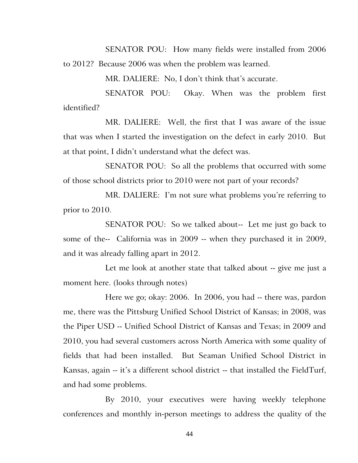SENATOR POU: How many fields were installed from 2006 to 2012? Because 2006 was when the problem was learned.

MR. DALIERE: No, I don't think that's accurate.

SENATOR POU: Okay. When was the problem first identified?

MR. DALIERE: Well, the first that I was aware of the issue that was when I started the investigation on the defect in early 2010. But at that point, I didn't understand what the defect was.

SENATOR POU: So all the problems that occurred with some of those school districts prior to 2010 were not part of your records?

MR. DALIERE: I'm not sure what problems you're referring to prior to 2010.

SENATOR POU: So we talked about-- Let me just go back to some of the-- California was in 2009 -- when they purchased it in 2009, and it was already falling apart in 2012.

Let me look at another state that talked about -- give me just a moment here. (looks through notes)

Here we go; okay: 2006. In 2006, you had -- there was, pardon me, there was the Pittsburg Unified School District of Kansas; in 2008, was the Piper USD -- Unified School District of Kansas and Texas; in 2009 and 2010, you had several customers across North America with some quality of fields that had been installed. But Seaman Unified School District in Kansas, again -- it's a different school district -- that installed the FieldTurf, and had some problems.

By 2010, your executives were having weekly telephone conferences and monthly in-person meetings to address the quality of the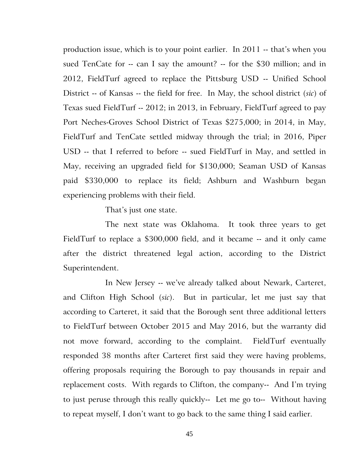production issue, which is to your point earlier. In 2011 -- that's when you sued TenCate for -- can I say the amount? -- for the \$30 million; and in 2012, FieldTurf agreed to replace the Pittsburg USD -- Unified School District -- of Kansas -- the field for free. In May, the school district (*sic*) of Texas sued FieldTurf -- 2012; in 2013, in February, FieldTurf agreed to pay Port Neches-Groves School District of Texas \$275,000; in 2014, in May, FieldTurf and TenCate settled midway through the trial; in 2016, Piper USD -- that I referred to before -- sued FieldTurf in May, and settled in May, receiving an upgraded field for \$130,000; Seaman USD of Kansas paid \$330,000 to replace its field; Ashburn and Washburn began experiencing problems with their field.

That's just one state.

The next state was Oklahoma. It took three years to get FieldTurf to replace a \$300,000 field, and it became -- and it only came after the district threatened legal action, according to the District Superintendent.

In New Jersey -- we've already talked about Newark, Carteret, and Clifton High School (*sic*). But in particular, let me just say that according to Carteret, it said that the Borough sent three additional letters to FieldTurf between October 2015 and May 2016, but the warranty did not move forward, according to the complaint. FieldTurf eventually responded 38 months after Carteret first said they were having problems, offering proposals requiring the Borough to pay thousands in repair and replacement costs. With regards to Clifton, the company-- And I'm trying to just peruse through this really quickly-- Let me go to-- Without having to repeat myself, I don't want to go back to the same thing I said earlier.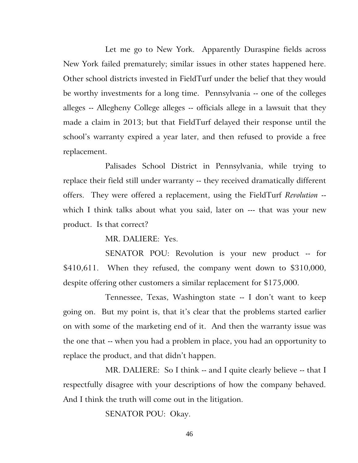Let me go to New York. Apparently Duraspine fields across New York failed prematurely; similar issues in other states happened here. Other school districts invested in FieldTurf under the belief that they would be worthy investments for a long time. Pennsylvania -- one of the colleges alleges -- Allegheny College alleges -- officials allege in a lawsuit that they made a claim in 2013; but that FieldTurf delayed their response until the school's warranty expired a year later, and then refused to provide a free replacement.

Palisades School District in Pennsylvania, while trying to replace their field still under warranty -- they received dramatically different offers. They were offered a replacement, using the FieldTurf *Revolution* - which I think talks about what you said, later on --- that was your new product. Is that correct?

MR. DALIERE: Yes.

SENATOR POU: Revolution is your new product -- for \$410,611. When they refused, the company went down to \$310,000, despite offering other customers a similar replacement for \$175,000.

Tennessee, Texas, Washington state -- I don't want to keep going on. But my point is, that it's clear that the problems started earlier on with some of the marketing end of it. And then the warranty issue was the one that -- when you had a problem in place, you had an opportunity to replace the product, and that didn't happen.

MR. DALIERE: So I think -- and I quite clearly believe -- that I respectfully disagree with your descriptions of how the company behaved. And I think the truth will come out in the litigation.

SENATOR POU: Okay.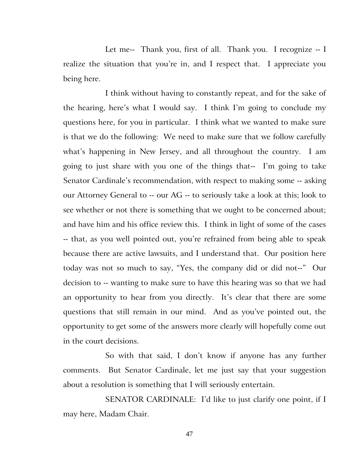Let me-- Thank you, first of all. Thank you. I recognize -- I realize the situation that you're in, and I respect that. I appreciate you being here.

I think without having to constantly repeat, and for the sake of the hearing, here's what I would say. I think I'm going to conclude my questions here, for you in particular. I think what we wanted to make sure is that we do the following: We need to make sure that we follow carefully what's happening in New Jersey, and all throughout the country. I am going to just share with you one of the things that-- I'm going to take Senator Cardinale's recommendation, with respect to making some -- asking our Attorney General to -- our AG -- to seriously take a look at this; look to see whether or not there is something that we ought to be concerned about; and have him and his office review this. I think in light of some of the cases -- that, as you well pointed out, you're refrained from being able to speak because there are active lawsuits, and I understand that. Our position here today was not so much to say, "Yes, the company did or did not--" Our decision to -- wanting to make sure to have this hearing was so that we had an opportunity to hear from you directly. It's clear that there are some questions that still remain in our mind. And as you've pointed out, the opportunity to get some of the answers more clearly will hopefully come out in the court decisions.

So with that said, I don't know if anyone has any further comments. But Senator Cardinale, let me just say that your suggestion about a resolution is something that I will seriously entertain.

SENATOR CARDINALE: I'd like to just clarify one point, if I may here, Madam Chair.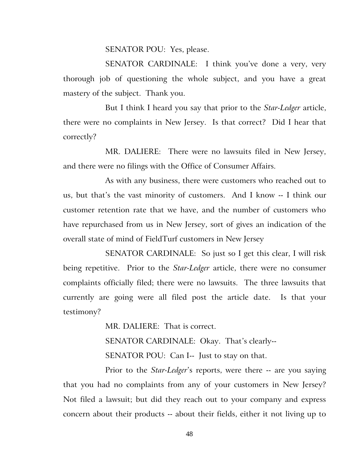SENATOR POU: Yes, please.

SENATOR CARDINALE: I think you've done a very, very thorough job of questioning the whole subject, and you have a great mastery of the subject. Thank you.

But I think I heard you say that prior to the *Star-Ledger* article, there were no complaints in New Jersey. Is that correct? Did I hear that correctly?

MR. DALIERE: There were no lawsuits filed in New Jersey, and there were no filings with the Office of Consumer Affairs.

As with any business, there were customers who reached out to us, but that's the vast minority of customers. And I know -- I think our customer retention rate that we have, and the number of customers who have repurchased from us in New Jersey, sort of gives an indication of the overall state of mind of FieldTurf customers in New Jersey

SENATOR CARDINALE: So just so I get this clear, I will risk being repetitive. Prior to the *Star-Ledger* article, there were no consumer complaints officially filed; there were no lawsuits. The three lawsuits that currently are going were all filed post the article date. Is that your testimony?

> MR. DALIERE: That is correct. SENATOR CARDINALE: Okay. That's clearly-- SENATOR POU: Can I-- Just to stay on that.

Prior to the *Star-Ledger*'s reports, were there -- are you saying that you had no complaints from any of your customers in New Jersey? Not filed a lawsuit; but did they reach out to your company and express concern about their products -- about their fields, either it not living up to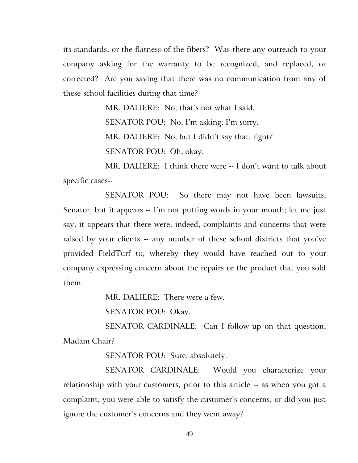its standards, or the flatness of the fibers? Was there any outreach to your company asking for the warranty to be recognized, and replaced, or corrected? Are you saying that there was no communication from any of these school facilities during that time?

MR. DALIERE: No, that's not what I said.

SENATOR POU: No, I'm asking; I'm sorry.

MR. DALIERE: No, but I didn't say that, right?

SENATOR POU: Oh, okay.

MR. DALIERE: I think there were -- I don't want to talk about specific cases--

SENATOR POU: So there may not have been lawsuits, Senator, but it appears -- I'm not putting words in your mouth; let me just say, it appears that there were, indeed, complaints and concerns that were raised by your clients -- any number of these school districts that you've provided FieldTurf to, whereby they would have reached out to your company expressing concern about the repairs or the product that you sold them.

MR. DALIERE: There were a few.

SENATOR POU: Okay.

SENATOR CARDINALE: Can I follow up on that question, Madam Chair?

SENATOR POU: Sure, absolutely.

SENATOR CARDINALE: Would you characterize your relationship with your customers, prior to this article -- as when you got a complaint, you were able to satisfy the customer's concerns; or did you just ignore the customer's concerns and they went away?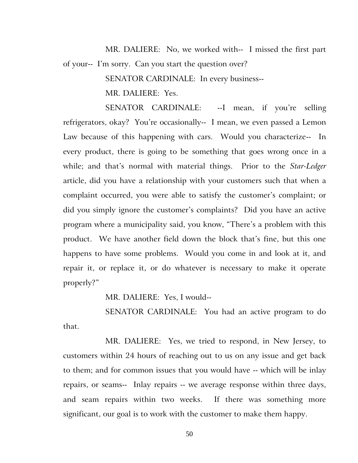MR. DALIERE: No, we worked with-- I missed the first part of your-- I'm sorry. Can you start the question over?

SENATOR CARDINALE: In every business--

MR. DALIERE: Yes.

SENATOR CARDINALE: --I mean, if you're selling refrigerators, okay? You're occasionally-- I mean, we even passed a Lemon Law because of this happening with cars. Would you characterize-- In every product, there is going to be something that goes wrong once in a while; and that's normal with material things. Prior to the *Star-Ledger* article, did you have a relationship with your customers such that when a complaint occurred, you were able to satisfy the customer's complaint; or did you simply ignore the customer's complaints? Did you have an active program where a municipality said, you know, "There's a problem with this product. We have another field down the block that's fine, but this one happens to have some problems. Would you come in and look at it, and repair it, or replace it, or do whatever is necessary to make it operate properly?"

MR. DALIERE: Yes, I would--

SENATOR CARDINALE: You had an active program to do that.

MR. DALIERE: Yes, we tried to respond, in New Jersey, to customers within 24 hours of reaching out to us on any issue and get back to them; and for common issues that you would have -- which will be inlay repairs, or seams-- Inlay repairs -- we average response within three days, and seam repairs within two weeks. If there was something more significant, our goal is to work with the customer to make them happy.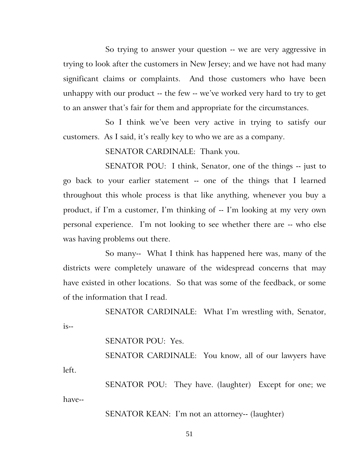So trying to answer your question -- we are very aggressive in trying to look after the customers in New Jersey; and we have not had many significant claims or complaints. And those customers who have been unhappy with our product -- the few -- we've worked very hard to try to get to an answer that's fair for them and appropriate for the circumstances.

So I think we've been very active in trying to satisfy our customers. As I said, it's really key to who we are as a company.

SENATOR CARDINALE: Thank you.

SENATOR POU: I think, Senator, one of the things -- just to go back to your earlier statement -- one of the things that I learned throughout this whole process is that like anything, whenever you buy a product, if I'm a customer, I'm thinking of -- I'm looking at my very own personal experience. I'm not looking to see whether there are -- who else was having problems out there.

So many-- What I think has happened here was, many of the districts were completely unaware of the widespread concerns that may have existed in other locations. So that was some of the feedback, or some of the information that I read.

SENATOR CARDINALE: What I'm wrestling with, Senator,  $is--$ 

SENATOR POU: Yes.

SENATOR CARDINALE: You know, all of our lawyers have left.

SENATOR POU: They have. (laughter) Except for one; we have--

SENATOR KEAN: I'm not an attorney-- (laughter)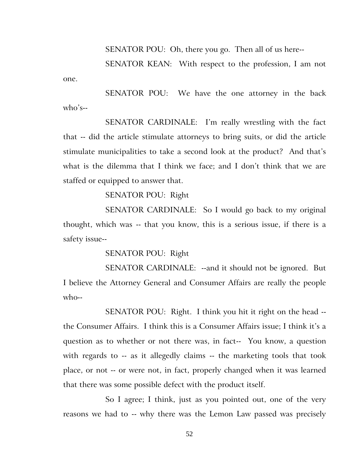SENATOR POU: Oh, there you go. Then all of us here--

SENATOR KEAN: With respect to the profession, I am not one.

SENATOR POU: We have the one attorney in the back who's--

SENATOR CARDINALE: I'm really wrestling with the fact that -- did the article stimulate attorneys to bring suits, or did the article stimulate municipalities to take a second look at the product? And that's what is the dilemma that I think we face; and I don't think that we are staffed or equipped to answer that.

SENATOR POU: Right

SENATOR CARDINALE: So I would go back to my original thought, which was -- that you know, this is a serious issue, if there is a safety issue--

SENATOR POU: Right

SENATOR CARDINALE: --and it should not be ignored. But I believe the Attorney General and Consumer Affairs are really the people who--

SENATOR POU: Right. I think you hit it right on the head - the Consumer Affairs. I think this is a Consumer Affairs issue; I think it's a question as to whether or not there was, in fact-- You know, a question with regards to -- as it allegedly claims -- the marketing tools that took place, or not -- or were not, in fact, properly changed when it was learned that there was some possible defect with the product itself.

So I agree; I think, just as you pointed out, one of the very reasons we had to -- why there was the Lemon Law passed was precisely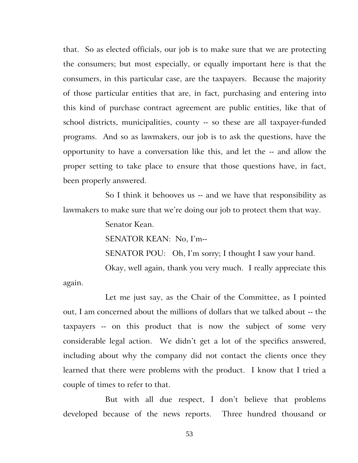that. So as elected officials, our job is to make sure that we are protecting the consumers; but most especially, or equally important here is that the consumers, in this particular case, are the taxpayers. Because the majority of those particular entities that are, in fact, purchasing and entering into this kind of purchase contract agreement are public entities, like that of school districts, municipalities, county -- so these are all taxpayer-funded programs. And so as lawmakers, our job is to ask the questions, have the opportunity to have a conversation like this, and let the -- and allow the proper setting to take place to ensure that those questions have, in fact, been properly answered.

So I think it behooves us -- and we have that responsibility as lawmakers to make sure that we're doing our job to protect them that way.

Senator Kean.

SENATOR KEAN: No, I'm--

SENATOR POU: Oh, I'm sorry; I thought I saw your hand.

Okay, well again, thank you very much. I really appreciate this again.

Let me just say, as the Chair of the Committee, as I pointed out, I am concerned about the millions of dollars that we talked about -- the taxpayers -- on this product that is now the subject of some very considerable legal action. We didn't get a lot of the specifics answered, including about why the company did not contact the clients once they learned that there were problems with the product. I know that I tried a couple of times to refer to that.

But with all due respect, I don't believe that problems developed because of the news reports. Three hundred thousand or